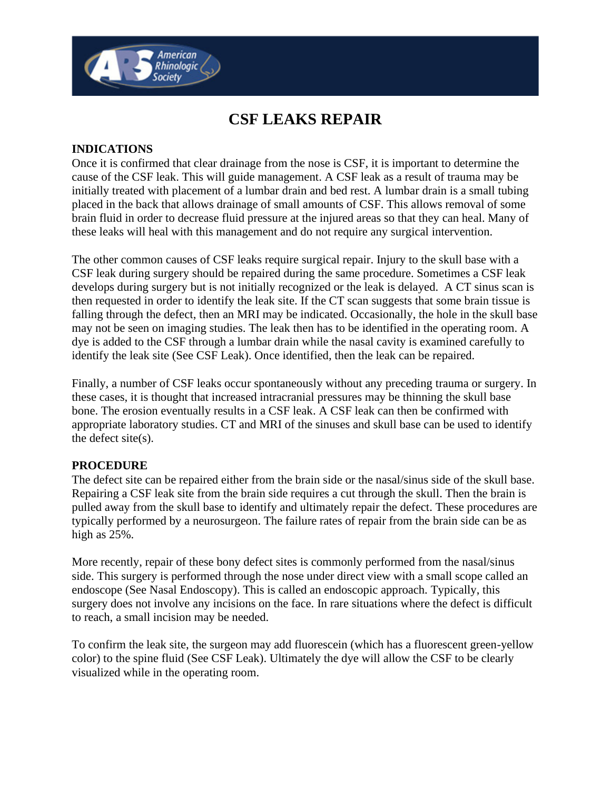# **CSF LEAKS REPAIR**

### **INDICATIONS**

<sup>,</sup> American<br>Rhinologic <sub>(</sub> **Society** 

Once it is confirmed that clear drainage from the nose is CSF, it is important to determine the cause of the CSF leak. This will guide management. A CSF leak as a result of trauma may be initially treated with placement of a lumbar drain and bed rest. A lumbar drain is a small tubing placed in the back that allows drainage of small amounts of CSF. This allows removal of some brain fluid in order to decrease fluid pressure at the injured areas so that they can heal. Many of these leaks will heal with this management and do not require any surgical intervention.

The other common causes of CSF leaks require surgical repair. Injury to the skull base with a CSF leak during surgery should be repaired during the same procedure. Sometimes a CSF leak develops during surgery but is not initially recognized or the leak is delayed. A CT sinus scan is then requested in order to identify the leak site. If the CT scan suggests that some brain tissue is falling through the defect, then an MRI may be indicated. Occasionally, the hole in the skull base may not be seen on imaging studies. The leak then has to be identified in the operating room. A dye is added to the CSF through a lumbar drain while the nasal cavity is examined carefully to identify the leak site (See CSF Leak). Once identified, then the leak can be repaired.

Finally, a number of CSF leaks occur spontaneously without any preceding trauma or surgery. In these cases, it is thought that increased intracranial pressures may be thinning the skull base bone. The erosion eventually results in a CSF leak. A CSF leak can then be confirmed with appropriate laboratory studies. CT and MRI of the sinuses and skull base can be used to identify the defect site(s).

#### **PROCEDURE**

The defect site can be repaired either from the brain side or the nasal/sinus side of the skull base. Repairing a CSF leak site from the brain side requires a cut through the skull. Then the brain is pulled away from the skull base to identify and ultimately repair the defect. These procedures are typically performed by a neurosurgeon. The failure rates of repair from the brain side can be as high as 25%.

More recently, repair of these bony defect sites is commonly performed from the nasal/sinus side. This surgery is performed through the nose under direct view with a small scope called an endoscope (See Nasal Endoscopy). This is called an endoscopic approach. Typically, this surgery does not involve any incisions on the face. In rare situations where the defect is difficult to reach, a small incision may be needed.

To confirm the leak site, the surgeon may add fluorescein (which has a fluorescent green-yellow color) to the spine fluid (See CSF Leak). Ultimately the dye will allow the CSF to be clearly visualized while in the operating room.